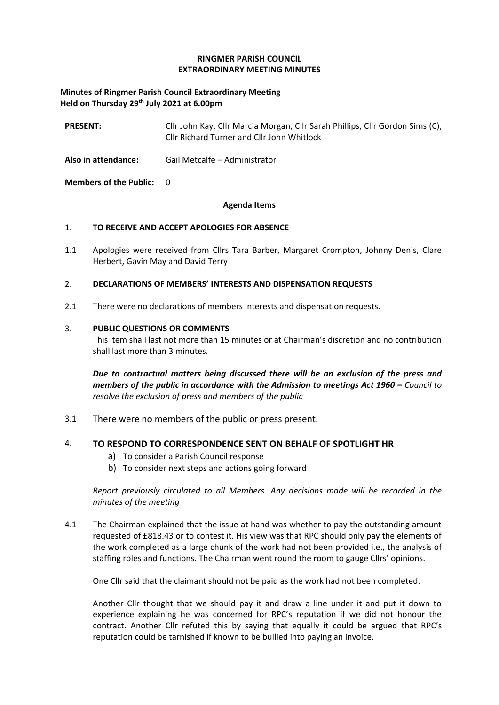### **RINGMER PARISH COUNCIL EXTRAORDINARY MEETING MINUTES**

## **Minutes of Ringmer Parish Council Extraordinary Meeting Held on Thursday 29th July 2021 at 6.00pm**

| <b>PRESENT:</b>                 | Cllr John Kay, Cllr Marcia Morgan, Cllr Sarah Phillips, Cllr Gordon Sims (C),<br>Cllr Richard Turner and Cllr John Whitlock |
|---------------------------------|-----------------------------------------------------------------------------------------------------------------------------|
| Also in attendance:             | Gail Metcalfe – Administrator                                                                                               |
| <b>Members of the Public: 0</b> |                                                                                                                             |

#### **Agenda Items**

### 1. **TO RECEIVE AND ACCEPT APOLOGIES FOR ABSENCE**

1.1 Apologies were received from Cllrs Tara Barber, Margaret Crompton, Johnny Denis, Clare Herbert, Gavin May and David Terry

### 2. **DECLARATIONS OF MEMBERS' INTERESTS AND DISPENSATION REQUESTS**

2.1 There were no declarations of members interests and dispensation requests.

### 3. **PUBLIC QUESTIONS OR COMMENTS**

This item shall last not more than 15 minutes or at Chairman's discretion and no contribution shall last more than 3 minutes.

*Due to contractual matters being discussed there will be an exclusion of the press and members of the public in accordance with the Admission to meetings Act 1960 – Council to resolve the exclusion of press and members of the public*

3.1 There were no members of the public or press present.

### 4. **TO RESPOND TO CORRESPONDENCE SENT ON BEHALF OF SPOTLIGHT HR**

- a) To consider a Parish Council response
- b) To consider next steps and actions going forward

*Report previously circulated to all Members. Any decisions made will be recorded in the minutes of the meeting*

4.1 The Chairman explained that the issue at hand was whether to pay the outstanding amount requested of £818.43 or to contest it. His view was that RPC should only pay the elements of the work completed as a large chunk of the work had not been provided i.e., the analysis of staffing roles and functions. The Chairman went round the room to gauge Cllrs' opinions.

One Cllr said that the claimant should not be paid as the work had not been completed.

Another Cllr thought that we should pay it and draw a line under it and put it down to experience explaining he was concerned for RPC's reputation if we did not honour the contract. Another Cllr refuted this by saying that equally it could be argued that RPC's reputation could be tarnished if known to be bullied into paying an invoice.